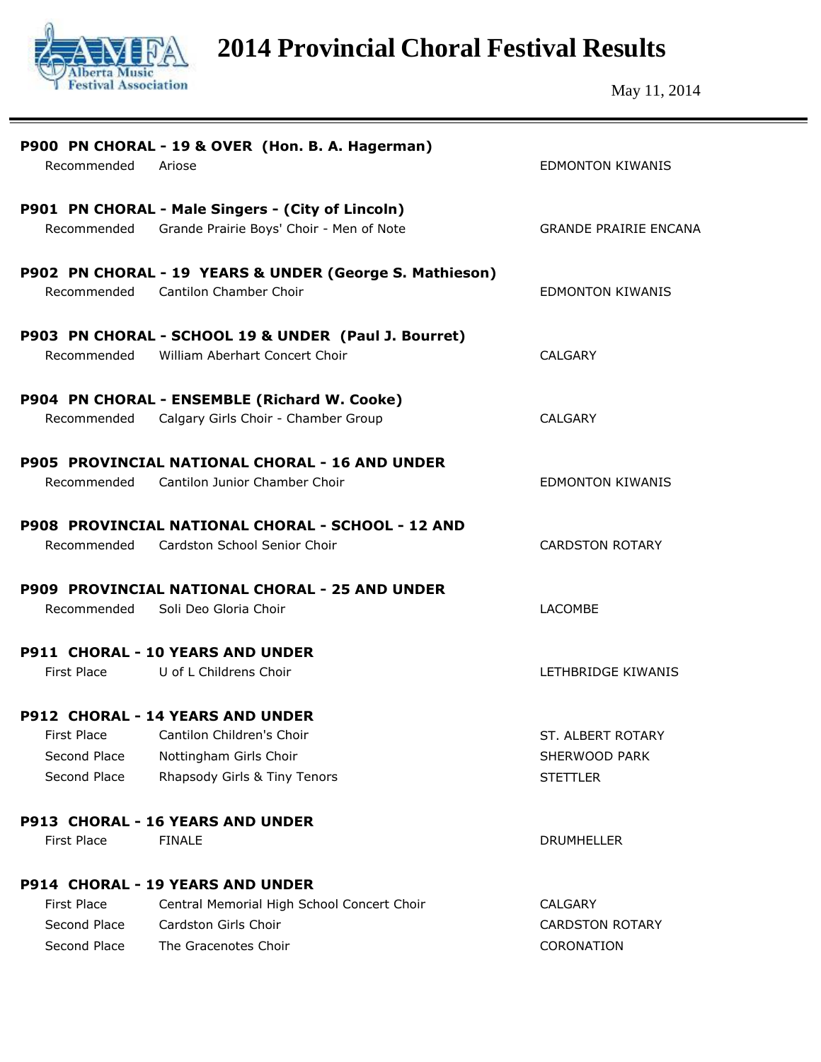

**2014 Provincial Choral Festival Results**

May 11, 2014

| Recommended                                        | P900 PN CHORAL - 19 & OVER (Hon. B. A. Hagerman)<br>Ariose                                                                     | <b>EDMONTON KIWANIS</b>                                |
|----------------------------------------------------|--------------------------------------------------------------------------------------------------------------------------------|--------------------------------------------------------|
|                                                    | P901 PN CHORAL - Male Singers - (City of Lincoln)<br>Recommended Grande Prairie Boys' Choir - Men of Note                      | <b>GRANDE PRAIRIE ENCANA</b>                           |
| Recommended                                        | P902 PN CHORAL - 19 YEARS & UNDER (George S. Mathieson)<br>Cantilon Chamber Choir                                              | <b>EDMONTON KIWANIS</b>                                |
| Recommended                                        | P903 PN CHORAL - SCHOOL 19 & UNDER (Paul J. Bourret)<br>William Aberhart Concert Choir                                         | CALGARY                                                |
| Recommended                                        | P904 PN CHORAL - ENSEMBLE (Richard W. Cooke)<br>Calgary Girls Choir - Chamber Group                                            | <b>CALGARY</b>                                         |
| Recommended                                        | <b>P905 PROVINCIAL NATIONAL CHORAL - 16 AND UNDER</b><br>Cantilon Junior Chamber Choir                                         | <b>EDMONTON KIWANIS</b>                                |
| Recommended                                        | P908 PROVINCIAL NATIONAL CHORAL - SCHOOL - 12 AND<br>Cardston School Senior Choir                                              | <b>CARDSTON ROTARY</b>                                 |
| Recommended                                        | <b>P909 PROVINCIAL NATIONAL CHORAL - 25 AND UNDER</b><br>Soli Deo Gloria Choir                                                 | <b>LACOMBE</b>                                         |
|                                                    | <b>P911 CHORAL - 10 YEARS AND UNDER</b><br>First Place U of L Childrens Choir                                                  | LETHBRIDGE KIWANIS                                     |
| First Place<br>Second Place<br>Second Place        | <b>P912 CHORAL - 14 YEARS AND UNDER</b><br>Cantilon Children's Choir<br>Nottingham Girls Choir<br>Rhapsody Girls & Tiny Tenors | ST. ALBERT ROTARY<br>SHERWOOD PARK<br><b>STETTLER</b>  |
| <b>First Place</b>                                 | P913 CHORAL - 16 YEARS AND UNDER<br><b>FINALE</b>                                                                              | <b>DRUMHELLER</b>                                      |
| <b>First Place</b><br>Second Place<br>Second Place | P914 CHORAL - 19 YEARS AND UNDER<br>Central Memorial High School Concert Choir<br>Cardston Girls Choir<br>The Gracenotes Choir | <b>CALGARY</b><br><b>CARDSTON ROTARY</b><br>CORONATION |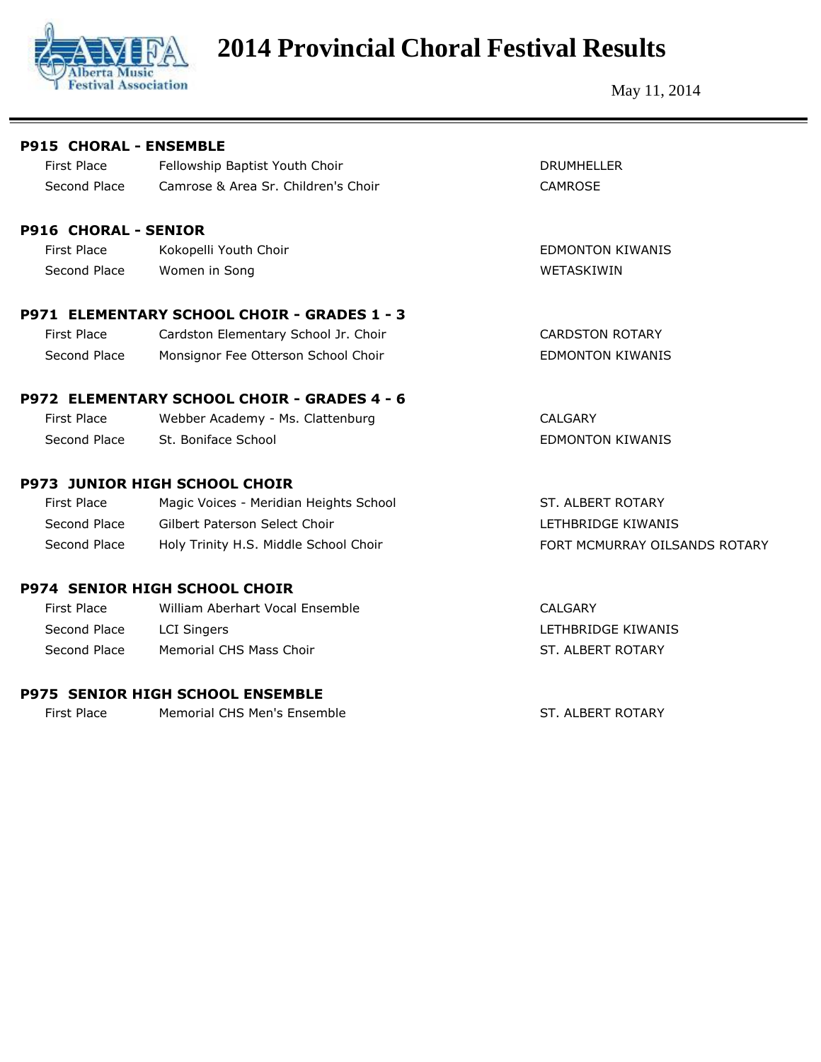

# **2014 Provincial Choral Festival Results**

May 11, 2014

| <b>P915 CHORAL - ENSEMBLE</b> |                                             |                               |
|-------------------------------|---------------------------------------------|-------------------------------|
| <b>First Place</b>            | Fellowship Baptist Youth Choir              | <b>DRUMHELLER</b>             |
| Second Place                  | Camrose & Area Sr. Children's Choir         | CAMROSE                       |
| <b>P916 CHORAL - SENIOR</b>   |                                             |                               |
| <b>First Place</b>            | Kokopelli Youth Choir                       | <b>EDMONTON KIWANIS</b>       |
| Second Place                  | Women in Song                               | WETASKIWIN                    |
|                               | P971 ELEMENTARY SCHOOL CHOIR - GRADES 1 - 3 |                               |
| First Place                   | Cardston Elementary School Jr. Choir        | <b>CARDSTON ROTARY</b>        |
| Second Place                  | Monsignor Fee Otterson School Choir         | <b>EDMONTON KIWANIS</b>       |
|                               | P972 ELEMENTARY SCHOOL CHOIR - GRADES 4 - 6 |                               |
| <b>First Place</b>            | Webber Academy - Ms. Clattenburg            | <b>CALGARY</b>                |
| Second Place                  | St. Boniface School                         | <b>EDMONTON KIWANIS</b>       |
|                               | <b>P973 JUNIOR HIGH SCHOOL CHOIR</b>        |                               |
| <b>First Place</b>            | Magic Voices - Meridian Heights School      | ST. ALBERT ROTARY             |
| Second Place                  | Gilbert Paterson Select Choir               | LETHBRIDGE KIWANIS            |
| Second Place                  | Holy Trinity H.S. Middle School Choir       | FORT MCMURRAY OILSANDS ROTARY |
|                               | <b>P974 SENIOR HIGH SCHOOL CHOIR</b>        |                               |
| <b>First Place</b>            | William Aberhart Vocal Ensemble             | <b>CALGARY</b>                |
| Second Place                  | <b>LCI Singers</b>                          | LETHBRIDGE KIWANIS            |
| Second Place                  | Memorial CHS Mass Choir                     | ST. ALBERT ROTARY             |
|                               | <b>P975 SENIOR HIGH SCHOOL ENSEMBLE</b>     |                               |
| First Place                   | Memorial CHS Men's Ensemble                 | ST. ALBERT ROTARY             |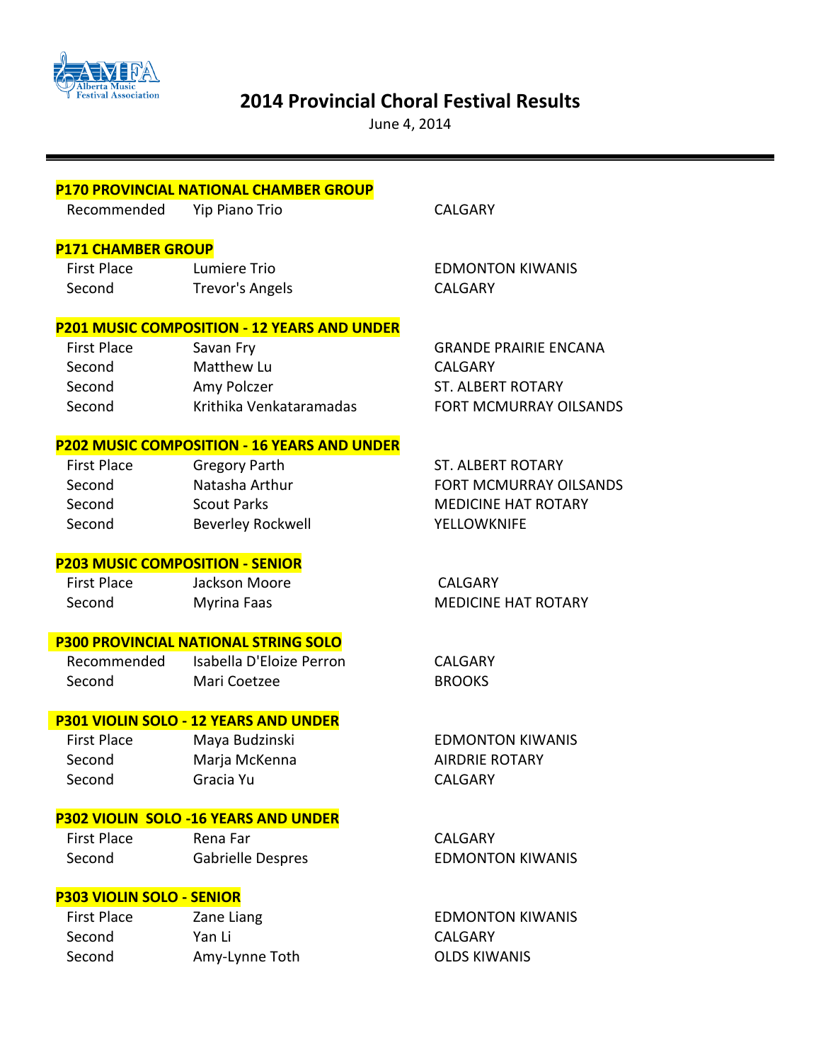

## **2014 Provincial Choral Festival Results**

June 4, 2014

|                                        | <b>P170 PROVINCIAL NATIONAL CHAMBER GROUP</b>      |                               |
|----------------------------------------|----------------------------------------------------|-------------------------------|
| Recommended                            | Yip Piano Trio                                     | <b>CALGARY</b>                |
|                                        |                                                    |                               |
| <b>P171 CHAMBER GROUP</b>              |                                                    |                               |
| <b>First Place</b>                     | Lumiere Trio                                       | <b>EDMONTON KIWANIS</b>       |
| Second                                 | <b>Trevor's Angels</b>                             | <b>CALGARY</b>                |
|                                        | <b>P201 MUSIC COMPOSITION - 12 YEARS AND UNDER</b> |                               |
| <b>First Place</b>                     | Savan Fry                                          | <b>GRANDE PRAIRIE ENCANA</b>  |
| Second                                 | Matthew Lu                                         | <b>CALGARY</b>                |
| Second                                 | Amy Polczer                                        | <b>ST. ALBERT ROTARY</b>      |
| Second                                 | Krithika Venkataramadas                            | <b>FORT MCMURRAY OILSANDS</b> |
|                                        | <b>P202 MUSIC COMPOSITION - 16 YEARS AND UNDER</b> |                               |
| <b>First Place</b>                     | <b>Gregory Parth</b>                               | <b>ST. ALBERT ROTARY</b>      |
| Second                                 | Natasha Arthur                                     | <b>FORT MCMURRAY OILSANDS</b> |
| Second                                 | <b>Scout Parks</b>                                 | <b>MEDICINE HAT ROTARY</b>    |
| Second                                 | <b>Beverley Rockwell</b>                           | <b>YELLOWKNIFE</b>            |
| <b>P203 MUSIC COMPOSITION - SENIOR</b> |                                                    |                               |
| <b>First Place</b>                     | Jackson Moore                                      | <b>CALGARY</b>                |
| Second                                 | <b>Myrina Faas</b>                                 | <b>MEDICINE HAT ROTARY</b>    |
|                                        | <b>P300 PROVINCIAL NATIONAL STRING SOLO</b>        |                               |
| Recommended                            | Isabella D'Eloize Perron                           | <b>CALGARY</b>                |
| Second                                 | Mari Coetzee                                       | <b>BROOKS</b>                 |
|                                        | P301 VIOLIN SOLO - 12 YEARS AND UNDER              |                               |
| <b>First Place</b>                     | Maya Budzinski                                     | <b>EDMONTON KIWANIS</b>       |
| Second                                 | Marja McKenna                                      | <b>AIRDRIE ROTARY</b>         |
| Second                                 | Gracia Yu                                          | <b>CALGARY</b>                |
|                                        |                                                    |                               |
|                                        | P302 VIOLIN SOLO -16 YEARS AND UNDER               |                               |
| <b>First Place</b>                     | Rena Far                                           | <b>CALGARY</b>                |
| Second                                 | Gabrielle Despres                                  | <b>EDMONTON KIWANIS</b>       |
| <b>P303 VIOLIN SOLO - SENIOR</b>       |                                                    |                               |
| <b>First Place</b>                     | Zane Liang                                         | <b>EDMONTON KIWANIS</b>       |
| Second                                 | Yan Li                                             | <b>CALGARY</b>                |
| Second                                 | Amy-Lynne Toth                                     | <b>OLDS KIWANIS</b>           |
|                                        |                                                    |                               |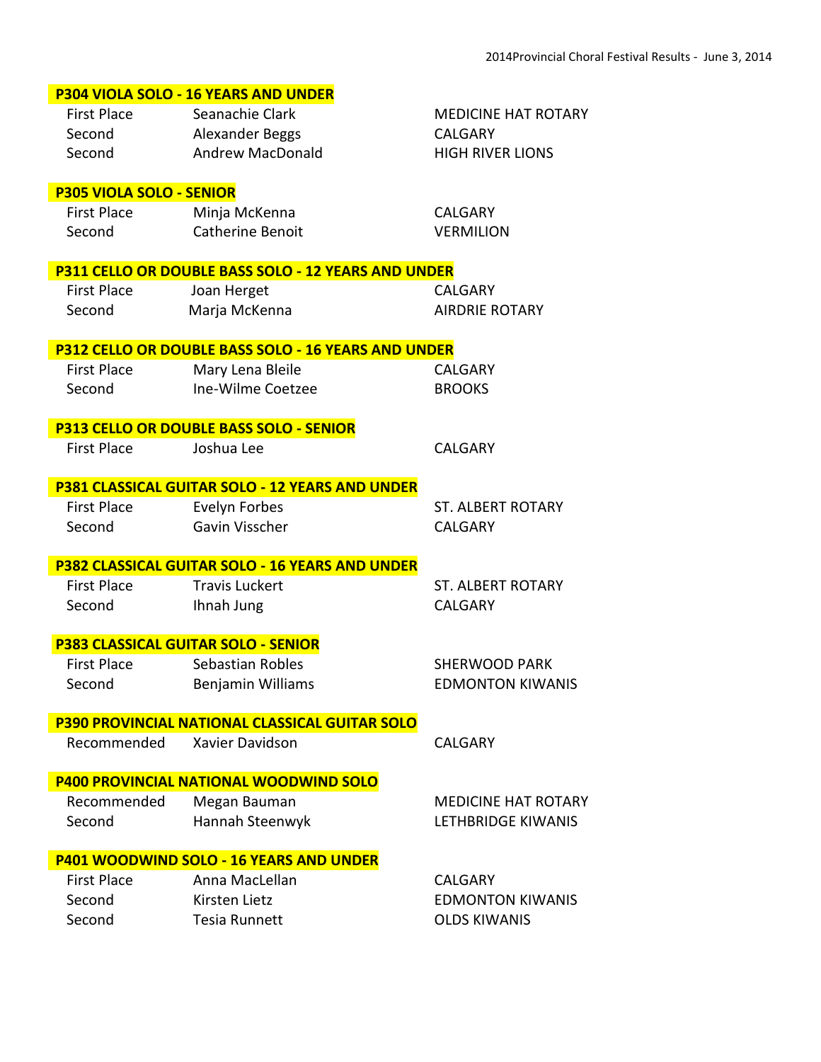|                                 | P304 VIOLA SOLO - 16 YEARS AND UNDER                   |                                            |
|---------------------------------|--------------------------------------------------------|--------------------------------------------|
| <b>First Place</b>              | Seanachie Clark                                        | <b>MEDICINE HAT ROTARY</b>                 |
| Second                          | Alexander Beggs                                        | <b>CALGARY</b>                             |
| Second                          | <b>Andrew MacDonald</b>                                | <b>HIGH RIVER LIONS</b>                    |
|                                 |                                                        |                                            |
| <b>P305 VIOLA SOLO - SENIOR</b> |                                                        |                                            |
| <b>First Place</b><br>Second    | Minja McKenna<br><b>Catherine Benoit</b>               | <b>CALGARY</b><br><b>VERMILION</b>         |
|                                 |                                                        |                                            |
|                                 | P311 CELLO OR DOUBLE BASS SOLO - 12 YEARS AND UNDER    |                                            |
| <b>First Place</b>              | Joan Herget                                            | <b>CALGARY</b>                             |
| Second                          | Marja McKenna                                          | <b>AIRDRIE ROTARY</b>                      |
|                                 |                                                        |                                            |
|                                 | P312 CELLO OR DOUBLE BASS SOLO - 16 YEARS AND UNDER    |                                            |
| <b>First Place</b>              | Mary Lena Bleile                                       | <b>CALGARY</b>                             |
| Second                          | Ine-Wilme Coetzee                                      | <b>BROOKS</b>                              |
|                                 | <b>P313 CELLO OR DOUBLE BASS SOLO - SENIOR</b>         |                                            |
| <b>First Place</b>              | Joshua Lee                                             | <b>CALGARY</b>                             |
|                                 |                                                        |                                            |
|                                 | P381 CLASSICAL GUITAR SOLO - 12 YEARS AND UNDER        |                                            |
| <b>First Place</b>              | Evelyn Forbes                                          | <b>ST. ALBERT ROTARY</b>                   |
| Second                          | Gavin Visscher                                         | <b>CALGARY</b>                             |
|                                 |                                                        |                                            |
| <b>First Place</b>              | <b>P382 CLASSICAL GUITAR SOLO - 16 YEARS AND UNDER</b> |                                            |
| Second                          | <b>Travis Luckert</b><br>Ihnah Jung                    | <b>ST. ALBERT ROTARY</b><br><b>CALGARY</b> |
|                                 |                                                        |                                            |
|                                 | <b>P383 CLASSICAL GUITAR SOLO - SENIOR</b>             |                                            |
| <b>First Place</b>              | Sebastian Robles                                       | <b>SHERWOOD PARK</b>                       |
| Second                          | Benjamin Williams                                      | <b>EDMONTON KIWANIS</b>                    |
|                                 |                                                        |                                            |
|                                 | <b>P390 PROVINCIAL NATIONAL CLASSICAL GUITAR SOLO</b>  |                                            |
| Recommended                     | Xavier Davidson                                        | <b>CALGARY</b>                             |
|                                 | <b>P400 PROVINCIAL NATIONAL WOODWIND SOLO</b>          |                                            |
| Recommended                     | Megan Bauman                                           | <b>MEDICINE HAT ROTARY</b>                 |
| Second                          | Hannah Steenwyk                                        | <b>LETHBRIDGE KIWANIS</b>                  |
|                                 |                                                        |                                            |
|                                 | <b>P401 WOODWIND SOLO - 16 YEARS AND UNDER</b>         |                                            |
| <b>First Place</b>              | Anna MacLellan                                         | <b>CALGARY</b>                             |
| Second                          | Kirsten Lietz                                          | <b>EDMONTON KIWANIS</b>                    |
| Second                          | Tesia Runnett                                          | <b>OLDS KIWANIS</b>                        |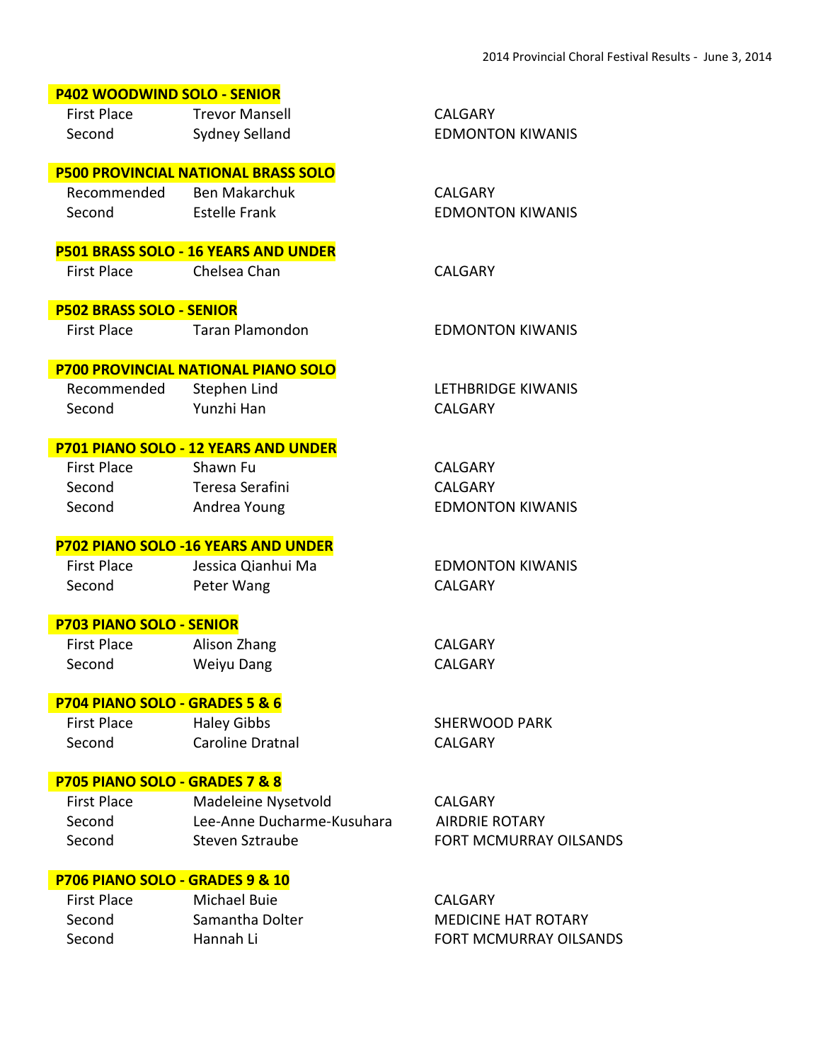| <b>P402 WOODWIND SOLO - SENIOR</b> |                                             |                         |
|------------------------------------|---------------------------------------------|-------------------------|
| <b>First Place</b>                 | <b>Trevor Mansell</b>                       | <b>CALGARY</b>          |
| Second                             | Sydney Selland                              | <b>EDMONTON KIWANIS</b> |
|                                    |                                             |                         |
|                                    | <b>P500 PROVINCIAL NATIONAL BRASS SOLO</b>  |                         |
| Recommended Ben Makarchuk          |                                             | <b>CALGARY</b>          |
| Second                             | Estelle Frank                               | <b>EDMONTON KIWANIS</b> |
|                                    |                                             |                         |
|                                    | P501 BRASS SOLO - 16 YEARS AND UNDER        |                         |
| <b>First Place</b>                 | Chelsea Chan                                | <b>CALGARY</b>          |
|                                    |                                             |                         |
| <b>P502 BRASS SOLO - SENIOR</b>    |                                             |                         |
| <b>First Place</b>                 | <b>Taran Plamondon</b>                      | <b>EDMONTON KIWANIS</b> |
|                                    |                                             |                         |
|                                    | <b>P700 PROVINCIAL NATIONAL PIANO SOLO</b>  |                         |
| Recommended                        | Stephen Lind                                | LETHBRIDGE KIWANIS      |
| Second                             | Yunzhi Han                                  | <b>CALGARY</b>          |
|                                    |                                             |                         |
|                                    | <b>P701 PIANO SOLO - 12 YEARS AND UNDER</b> |                         |
| First Place                        | Shawn Fu                                    | <b>CALGARY</b>          |
| Second                             | Teresa Serafini                             | <b>CALGARY</b>          |
| Second                             | Andrea Young                                | <b>EDMONTON KIWANIS</b> |
|                                    |                                             |                         |
|                                    | <b>P702 PIANO SOLO -16 YEARS AND UNDER</b>  | <b>EDMONTON KIWANIS</b> |
| <b>First Place</b>                 | Jessica Qianhui Ma                          | <b>CALGARY</b>          |
| Second                             | Peter Wang                                  |                         |
| <b>P703 PIANO SOLO - SENIOR</b>    |                                             |                         |
| <b>First Place</b>                 | Alison Zhang                                | <b>CALGARY</b>          |
| Second                             | Weiyu Dang                                  | <b>CALGARY</b>          |
|                                    |                                             |                         |
| P704 PIANO SOLO - GRADES 5 & 6     |                                             |                         |
| <b>First Place</b>                 | <b>Haley Gibbs</b>                          | <b>SHERWOOD PARK</b>    |
| Second                             | Caroline Dratnal                            | <b>CALGARY</b>          |
|                                    |                                             |                         |
| P705 PIANO SOLO - GRADES 7 & 8     |                                             |                         |
| <b>First Place</b>                 | Madeleine Nysetvold                         | <b>CALGARY</b>          |
| Second                             | Lee-Anne Ducharme-Kusuhara                  | <b>AIRDRIE ROTARY</b>   |
| Second                             | Steven Sztraube                             | FORT MCMURRAY OILSANDS  |
|                                    |                                             |                         |
| P706 PIANO SOLO - GRADES 9 & 10    |                                             |                         |
| <b>First Place</b>                 | <b>Michael Buie</b>                         | <b>CALGARY</b>          |

Second Samantha Dolter Second Samantha Dolter MEDICINE HAT ROTARY<br>Second Hannah Li FORT MCMURRAY OILSA Hannah Li **Kanada Li Second Hannah Li** FORT MCMURRAY OILSANDS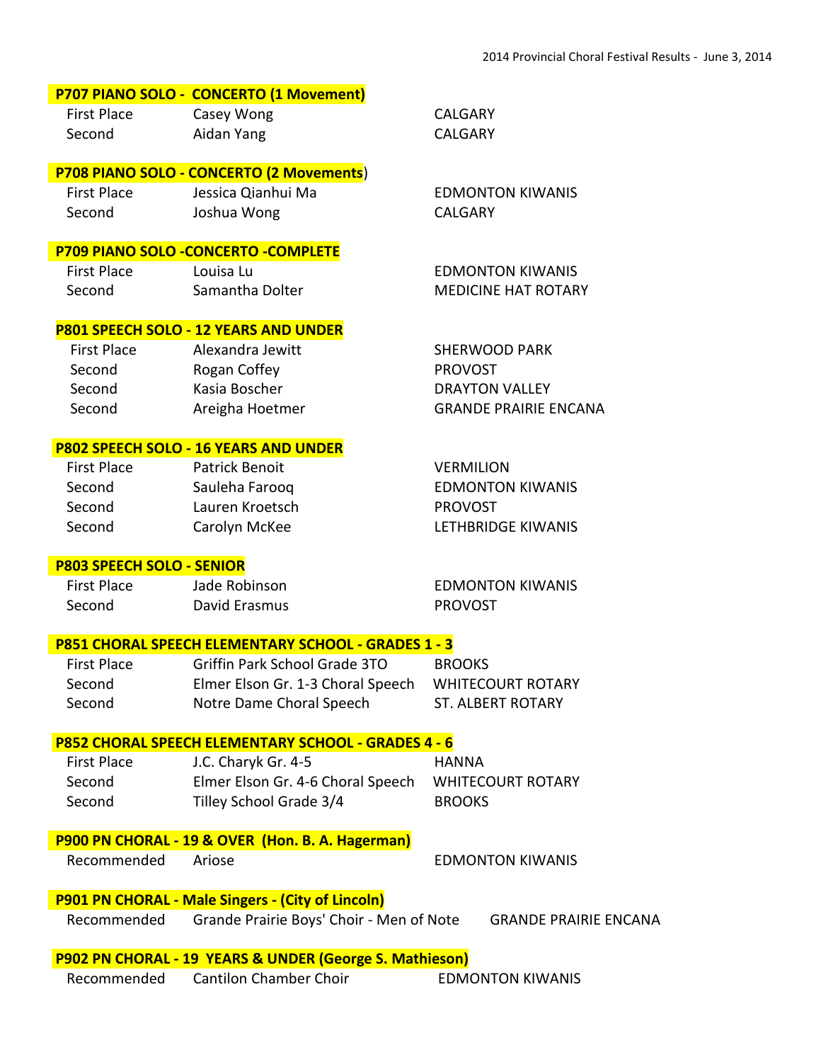## **P707 PIANO SOLO - CONCERTO (1 Movement)**

First Place Casey Wong CALGARY Second Aidan Yang CALGARY

## **P708 PIANO SOLO - CONCERTO (2 Movements**)

 First Place Jessica Qianhui Ma EDMONTON KIWANIS Second Joshua Wong CALGARY

## **P709 PIANO SOLO -CONCERTO -COMPLETE**

| <b>First Place</b> | Louisa Lu       | <b>EDMONTON KIWANIS</b>    |
|--------------------|-----------------|----------------------------|
| Second             | Samantha Dolter | <b>MEDICINE HAT ROTARY</b> |

#### **P801 SPEECH SOLO - 12 YEARS AND UNDER**

| First Place | Alexandra Jewitt | <b>SHERWOOD PARK</b>         |
|-------------|------------------|------------------------------|
| Second      | Rogan Coffey     | <b>PROVOST</b>               |
| Second      | Kasia Boscher    | <b>DRAYTON VALLEY</b>        |
| Second      | Areigha Hoetmer  | <b>GRANDE PRAIRIE ENCANA</b> |
|             |                  |                              |

#### **P802 SPEECH SOLO - 16 YEARS AND UNDER**

| <b>First Place</b> | Patrick Benoit  | <b>VERMILION</b>        |
|--------------------|-----------------|-------------------------|
| Second             | Sauleha Faroog  | <b>EDMONTON KIWANIS</b> |
| Second             | Lauren Kroetsch | <b>PROVOST</b>          |
| Second             | Carolyn McKee   | LETHBRIDGE KIWANIS      |
|                    |                 |                         |

#### **P803 SPEECH SOLO - SENIOR**

 First Place Jade Robinson EDMONTON KIWANIS Second David Erasmus **PROVOST** 

## **P851 CHORAL SPEECH ELEMENTARY SCHOOL - GRADES 1 - 3**

| First Place | Griffin Park School Grade 3TO     | <b>BROOKS</b>            |
|-------------|-----------------------------------|--------------------------|
| Second      | Elmer Elson Gr. 1-3 Choral Speech | <b>WHITECOURT ROTARY</b> |
| Second      | Notre Dame Choral Speech          | <b>ST. ALBERT ROTARY</b> |

#### **P852 CHORAL SPEECH ELEMENTARY SCHOOL - GRADES 4 - 6**

| <b>First Place</b> | J.C. Charyk Gr. 4-5               | HANNA                    |
|--------------------|-----------------------------------|--------------------------|
| Second             | Elmer Elson Gr. 4-6 Choral Speech | <b>WHITECOURT ROTARY</b> |
| Second             | Tilley School Grade 3/4           | <b>BROOKS</b>            |

## **P900 PN CHORAL - 19 & OVER (Hon. B. A. Hagerman)**

Recommended Ariose **EDMONTON KIWANIS** 

## **P901 PN CHORAL - Male Singers - (City of Lincoln)**

Recommended Grande Prairie Boys' Choir - Men of Note GRANDE PRAIRIE ENCANA

## **P902 PN CHORAL - 19 YEARS & UNDER (George S. Mathieson)** Recommended Cantilon Chamber Choir EDMONTON KIWANIS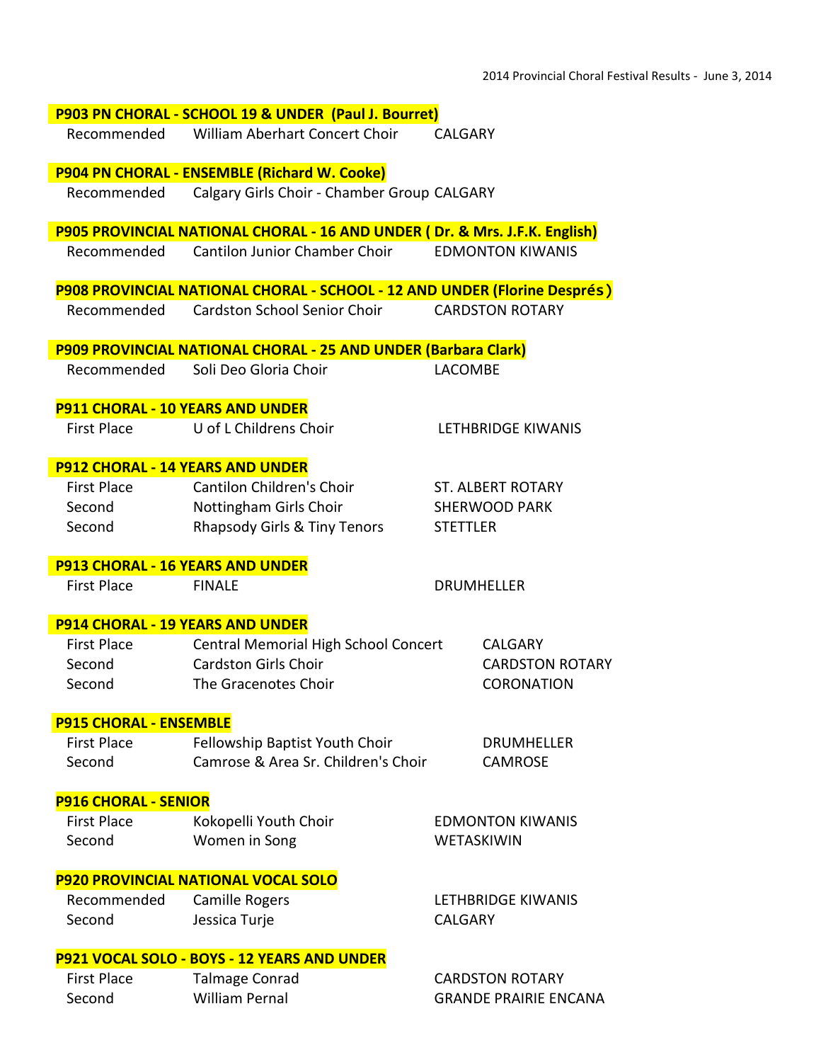|                                         | P903 PN CHORAL - SCHOOL 19 & UNDER (Paul J. Bourret)                       |                              |
|-----------------------------------------|----------------------------------------------------------------------------|------------------------------|
|                                         | Recommended William Aberhart Concert Choir                                 | <b>CALGARY</b>               |
|                                         | <b>P904 PN CHORAL - ENSEMBLE (Richard W. Cooke)</b>                        |                              |
| Recommended                             | Calgary Girls Choir - Chamber Group CALGARY                                |                              |
|                                         | P905 PROVINCIAL NATIONAL CHORAL - 16 AND UNDER (Dr. & Mrs. J.F.K. English) |                              |
|                                         | Recommended Cantilon Junior Chamber Choir                                  | <b>EDMONTON KIWANIS</b>      |
|                                         | P908 PROVINCIAL NATIONAL CHORAL - SCHOOL - 12 AND UNDER (Florine Després)  |                              |
|                                         | Recommended Cardston School Senior Choir                                   | <b>CARDSTON ROTARY</b>       |
|                                         | P909 PROVINCIAL NATIONAL CHORAL - 25 AND UNDER (Barbara Clark)             |                              |
| Recommended                             | Soli Deo Gloria Choir                                                      | <b>LACOMBE</b>               |
| <b>P911 CHORAL - 10 YEARS AND UNDER</b> |                                                                            |                              |
| First Place                             | U of L Childrens Choir                                                     | LETHBRIDGE KIWANIS           |
| <b>P912 CHORAL - 14 YEARS AND UNDER</b> |                                                                            |                              |
| First Place                             | Cantilon Children's Choir                                                  | <b>ST. ALBERT ROTARY</b>     |
| Second                                  | Nottingham Girls Choir                                                     | <b>SHERWOOD PARK</b>         |
| Second                                  | Rhapsody Girls & Tiny Tenors                                               | <b>STETTLER</b>              |
| <b>P913 CHORAL - 16 YEARS AND UNDER</b> |                                                                            |                              |
| <b>First Place</b>                      | <b>FINALE</b>                                                              | <b>DRUMHELLER</b>            |
| <b>P914 CHORAL - 19 YEARS AND UNDER</b> |                                                                            |                              |
| First Place                             | Central Memorial High School Concert                                       | <b>CALGARY</b>               |
| Second                                  | <b>Cardston Girls Choir</b>                                                | <b>CARDSTON ROTARY</b>       |
| Second                                  | The Gracenotes Choir                                                       | <b>CORONATION</b>            |
| <b>P915 CHORAL - ENSEMBLE</b>           |                                                                            |                              |
| First Place                             | Fellowship Baptist Youth Choir                                             | <b>DRUMHELLER</b>            |
| Second                                  | Camrose & Area Sr. Children's Choir                                        | <b>CAMROSE</b>               |
| <b>P916 CHORAL - SENIOR</b>             |                                                                            |                              |
| <b>First Place</b>                      | Kokopelli Youth Choir                                                      | <b>EDMONTON KIWANIS</b>      |
| Second                                  | Women in Song                                                              | <b>WETASKIWIN</b>            |
|                                         | <b>P920 PROVINCIAL NATIONAL VOCAL SOLO</b>                                 |                              |
| Recommended                             | Camille Rogers                                                             | LETHBRIDGE KIWANIS           |
| Second                                  | Jessica Turje                                                              | <b>CALGARY</b>               |
|                                         | P921 VOCAL SOLO - BOYS - 12 YEARS AND UNDER                                |                              |
| <b>First Place</b>                      | <b>Talmage Conrad</b>                                                      | <b>CARDSTON ROTARY</b>       |
| Second                                  | <b>William Pernal</b>                                                      | <b>GRANDE PRAIRIE ENCANA</b> |
|                                         |                                                                            |                              |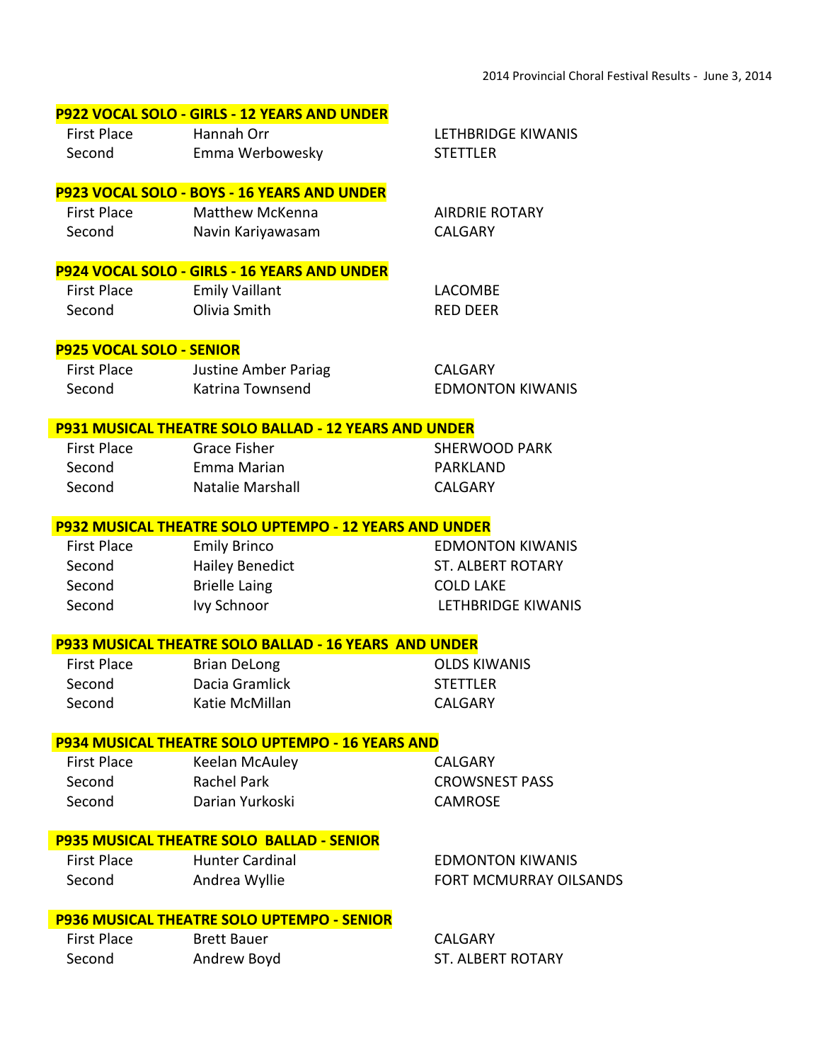## **P922 VOCAL SOLO - GIRLS - 12 YEARS AND UNDER**

| First Place | Hannah Orr      |
|-------------|-----------------|
| Second      | Emma Werbowesky |

#### **P923 VOCAL SOLO - BOYS - 16 YEARS AND UNDER**

| <b>First Place</b> | <b>Matthew McKenna</b> | <b>AIRDRIE ROTARY</b> |
|--------------------|------------------------|-----------------------|
| Second             | Navin Kariyawasam      | CALGARY               |

#### **P924 VOCAL SOLO - GIRLS - 16 YEARS AND UNDER**

| First Place | <b>Emily Vaillant</b> | LACOMBE  |
|-------------|-----------------------|----------|
| Second      | Olivia Smith          | RFD DFFR |

#### **P925 VOCAL SOLO - SENIOR**

| First Place | Justine Amber Pariag | CALGARY                 |
|-------------|----------------------|-------------------------|
| Second      | Katrina Townsend     | <b>EDMONTON KIWANIS</b> |

#### **P931 MUSICAL THEATRE SOLO BALLAD - 12 YEARS AND UNDER**

Second Fmma Marian **Emma Marian** PARKLAND Second Natalie Marshall CALGARY

First Place Grace Fisher SHERWOOD PARK

LETHBRIDGE KIWANIS

STETTLER

#### **P932 MUSICAL THEATRE SOLO UPTEMPO - 12 YEARS AND UNDER**

 First Place Emily Brinco EDMONTON KIWANIS Second Hailey Benedict ST. ALBERT ROTARY Second Brielle Laing COLD LAKE Second Ivy Schnoor LETHBRIDGE KIWANIS

#### **P933 MUSICAL THEATRE SOLO BALLAD - 16 YEARS AND UNDER**

First Place Brian DeLong **COLDS KIWANIS** Second Dacia Gramlick STETTLER Second Katie McMillan CALGARY

## **P934 MUSICAL THEATRE SOLO UPTEMPO - 16 YEARS AND**

Second Darian Yurkoski CAMROSE

First Place Keelan McAuley CALGARY

Second Rachel Park CROWSNEST PASS

## **P935 MUSICAL THEATRE SOLO BALLAD - SENIOR**

First Place Hunter Cardinal EDMONTON KIWANIS

Second Andrea Wyllie FORT MCMURRAY OILSANDS

#### **P936 MUSICAL THEATRE SOLO UPTEMPO - SENIOR**

| First Place | <b>Brett Bauer</b> | CALGARY                  |
|-------------|--------------------|--------------------------|
| Second      | Andrew Boyd        | <b>ST. ALBERT ROTARY</b> |